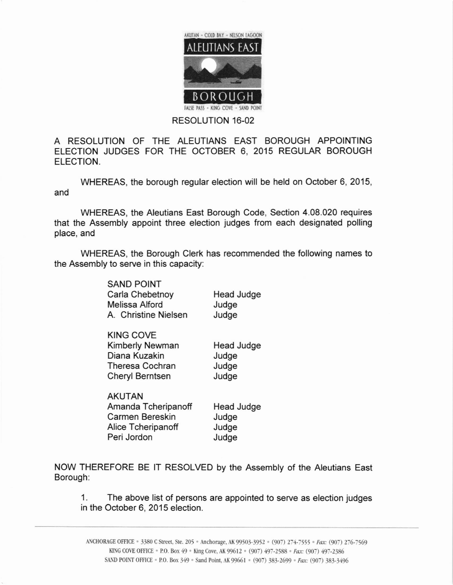

## RESOLUTION 16-02

A RESOLUTION OF THE ALEUTIANS EAST BOROUGH APPOINTING ELECTION JUDGES FOR THE OCTOBER 6, 2015 REGULAR BOROUGH ELECTION.

WHEREAS, the borough regular election will be held on October 6, 2015, and

WHEREAS, the Aleutians East Borough Code, Section 4.08.020 requires that the Assembly appoint three election judges from each designated polling place, and

WHEREAS, the Borough Clerk has recommended the following names to the Assembly to serve in this capacity:

> SAND POINT Carla Chebetnoy Melissa Alford A. Christine Nielsen

KING COVE Kimberly Newman Diana Kuzakin Theresa Cochran Cheryl Berntsen Head Judge Judge Judge Judge

AKUTAN Amanda Tcheripanoff Carmen Bereskin Alice Tcheripanoff Peri Jordon Judge Judge Judge

Head Judge

Head Judge

Judge Judge

NOW THEREFORE BE lT RESOLVED by the Assembly of the Aleutians East Borough:

1. The above list of persons are appointed to serve as election judges in the October 6, 2015 election.